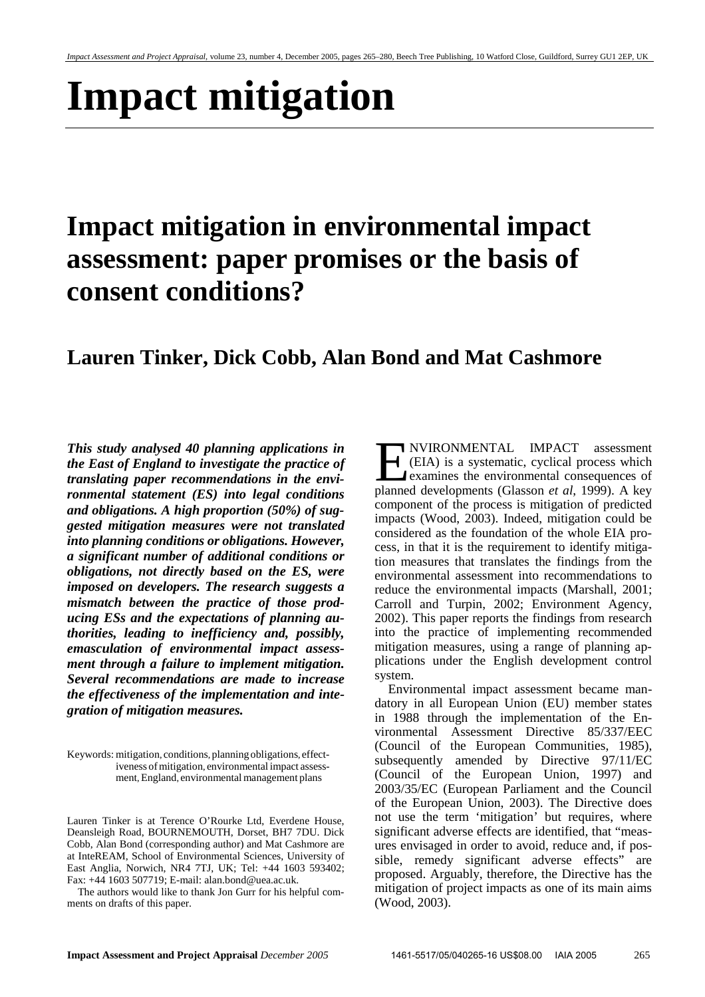# **Impact mitigation**

## **Impact mitigation in environmental impact assessment: paper promises or the basis of consent conditions?**

## **Lauren Tinker, Dick Cobb, Alan Bond and Mat Cashmore**

*This study analysed 40 planning applications in the East of England to investigate the practice of translating paper recommendations in the environmental statement (ES) into legal conditions and obligations. A high proportion (50%) of suggested mitigation measures were not translated into planning conditions or obligations. However, a significant number of additional conditions or obligations, not directly based on the ES, were imposed on developers. The research suggests a mismatch between the practice of those producing ESs and the expectations of planning authorities, leading to inefficiency and, possibly, emasculation of environmental impact assessment through a failure to implement mitigation. Several recommendations are made to increase the effectiveness of the implementation and integration of mitigation measures.* 

Keywords: mitigation, conditions, planning obligations, effectiveness of mitigation, environmental impact assessment, England, environmental management plans

Lauren Tinker is at Terence O'Rourke Ltd, Everdene House, Deansleigh Road, BOURNEMOUTH, Dorset, BH7 7DU. Dick Cobb, Alan Bond (corresponding author) and Mat Cashmore are at InteREAM, School of Environmental Sciences, University of East Anglia, Norwich, NR4 7TJ, UK; Tel: +44 1603 593402; Fax: +44 1603 507719; E-mail: alan.bond@uea.ac.uk.

The authors would like to thank Jon Gurr for his helpful comments on drafts of this paper.

NVIRONMENTAL IMPACT assessment (EIA) is a systematic, cyclical process which examines the environmental consequences of **FRANNENTAL IMPACT** assessment<br>
(EIA) is a systematic, cyclical process which<br>
examines the environmental consequences of<br>
planned developments (Glasson *et al*, 1999). A key component of the process is mitigation of predicted impacts (Wood, 2003). Indeed, mitigation could be considered as the foundation of the whole EIA process, in that it is the requirement to identify mitigation measures that translates the findings from the environmental assessment into recommendations to reduce the environmental impacts (Marshall, 2001; Carroll and Turpin, 2002; Environment Agency, 2002). This paper reports the findings from research into the practice of implementing recommended mitigation measures, using a range of planning applications under the English development control system.

Environmental impact assessment became mandatory in all European Union (EU) member states in 1988 through the implementation of the Environmental Assessment Directive 85/337/EEC (Council of the European Communities, 1985), subsequently amended by Directive 97/11/EC (Council of the European Union, 1997) and 2003/35/EC (European Parliament and the Council of the European Union, 2003). The Directive does not use the term 'mitigation' but requires, where significant adverse effects are identified, that "measures envisaged in order to avoid, reduce and, if possible, remedy significant adverse effects" are proposed. Arguably, therefore, the Directive has the mitigation of project impacts as one of its main aims (Wood, 2003).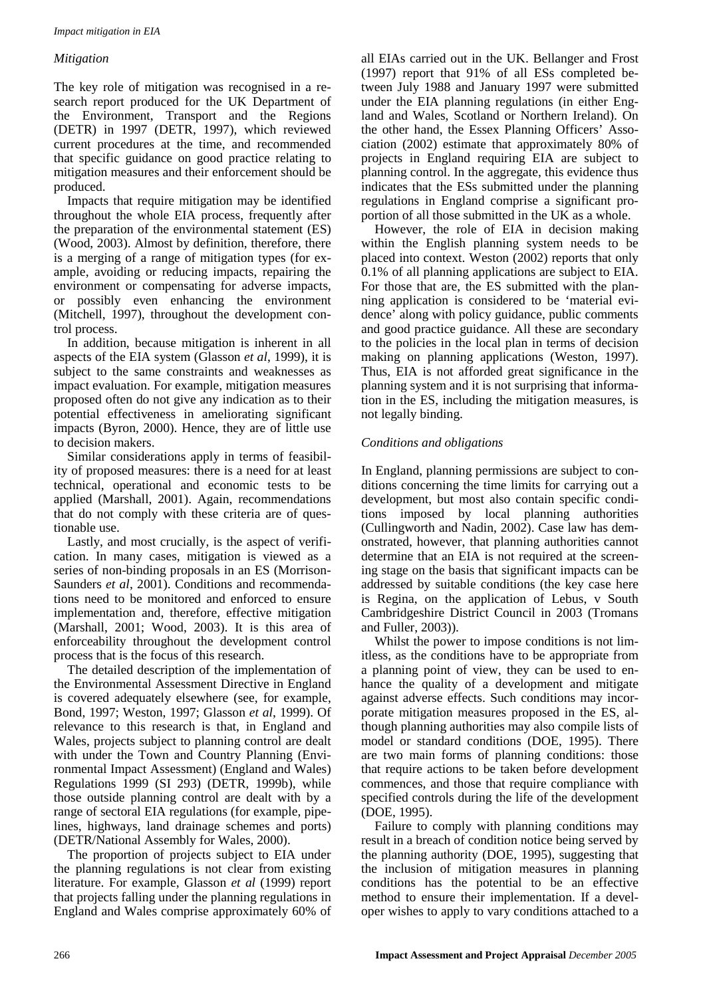## *Mitigation*

The key role of mitigation was recognised in a research report produced for the UK Department of the Environment, Transport and the Regions (DETR) in 1997 (DETR, 1997), which reviewed current procedures at the time, and recommended that specific guidance on good practice relating to mitigation measures and their enforcement should be produced.

Impacts that require mitigation may be identified throughout the whole EIA process, frequently after the preparation of the environmental statement (ES) (Wood, 2003). Almost by definition, therefore, there is a merging of a range of mitigation types (for example, avoiding or reducing impacts, repairing the environment or compensating for adverse impacts, or possibly even enhancing the environment (Mitchell, 1997), throughout the development control process.

In addition, because mitigation is inherent in all aspects of the EIA system (Glasson *et al*, 1999), it is subject to the same constraints and weaknesses as impact evaluation. For example, mitigation measures proposed often do not give any indication as to their potential effectiveness in ameliorating significant impacts (Byron, 2000). Hence, they are of little use to decision makers.

Similar considerations apply in terms of feasibility of proposed measures: there is a need for at least technical, operational and economic tests to be applied (Marshall, 2001). Again, recommendations that do not comply with these criteria are of questionable use.

Lastly, and most crucially, is the aspect of verification. In many cases, mitigation is viewed as a series of non-binding proposals in an ES (Morrison-Saunders *et al*, 2001). Conditions and recommendations need to be monitored and enforced to ensure implementation and, therefore, effective mitigation (Marshall, 2001; Wood, 2003). It is this area of enforceability throughout the development control process that is the focus of this research.

The detailed description of the implementation of the Environmental Assessment Directive in England is covered adequately elsewhere (see, for example, Bond, 1997; Weston, 1997; Glasson *et al*, 1999). Of relevance to this research is that, in England and Wales, projects subject to planning control are dealt with under the Town and Country Planning (Environmental Impact Assessment) (England and Wales) Regulations 1999 (SI 293) (DETR, 1999b), while those outside planning control are dealt with by a range of sectoral EIA regulations (for example, pipelines, highways, land drainage schemes and ports) (DETR/National Assembly for Wales, 2000).

The proportion of projects subject to EIA under the planning regulations is not clear from existing literature. For example, Glasson *et al* (1999) report that projects falling under the planning regulations in England and Wales comprise approximately 60% of

all EIAs carried out in the UK. Bellanger and Frost (1997) report that 91% of all ESs completed between July 1988 and January 1997 were submitted under the EIA planning regulations (in either England and Wales, Scotland or Northern Ireland). On the other hand, the Essex Planning Officers' Association (2002) estimate that approximately 80% of projects in England requiring EIA are subject to planning control. In the aggregate, this evidence thus indicates that the ESs submitted under the planning regulations in England comprise a significant proportion of all those submitted in the UK as a whole.

However, the role of EIA in decision making within the English planning system needs to be placed into context. Weston (2002) reports that only 0.1% of all planning applications are subject to EIA. For those that are, the ES submitted with the planning application is considered to be 'material evidence' along with policy guidance, public comments and good practice guidance. All these are secondary to the policies in the local plan in terms of decision making on planning applications (Weston, 1997). Thus, EIA is not afforded great significance in the planning system and it is not surprising that information in the ES, including the mitigation measures, is not legally binding.

## *Conditions and obligations*

In England, planning permissions are subject to conditions concerning the time limits for carrying out a development, but most also contain specific conditions imposed by local planning authorities (Cullingworth and Nadin, 2002). Case law has demonstrated, however, that planning authorities cannot determine that an EIA is not required at the screening stage on the basis that significant impacts can be addressed by suitable conditions (the key case here is Regina, on the application of Lebus, v South Cambridgeshire District Council in 2003 (Tromans and Fuller, 2003)).

Whilst the power to impose conditions is not limitless, as the conditions have to be appropriate from a planning point of view, they can be used to enhance the quality of a development and mitigate against adverse effects. Such conditions may incorporate mitigation measures proposed in the ES, although planning authorities may also compile lists of model or standard conditions (DOE, 1995). There are two main forms of planning conditions: those that require actions to be taken before development commences, and those that require compliance with specified controls during the life of the development (DOE, 1995).

Failure to comply with planning conditions may result in a breach of condition notice being served by the planning authority (DOE, 1995), suggesting that the inclusion of mitigation measures in planning conditions has the potential to be an effective method to ensure their implementation. If a developer wishes to apply to vary conditions attached to a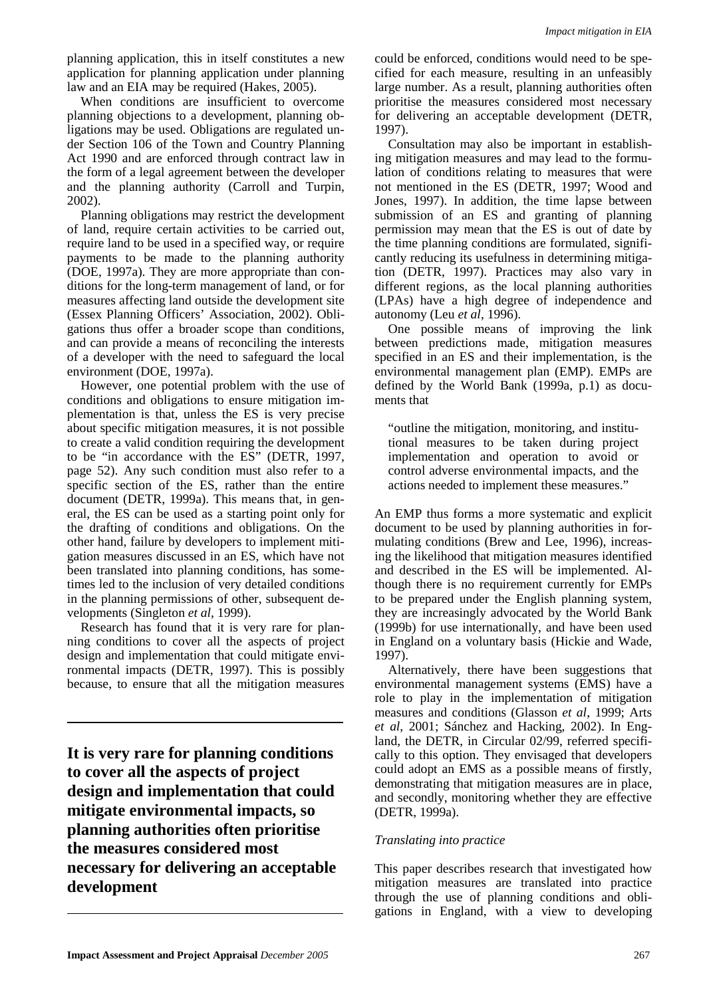planning application, this in itself constitutes a new application for planning application under planning law and an EIA may be required (Hakes, 2005).

When conditions are insufficient to overcome planning objections to a development, planning obligations may be used. Obligations are regulated under Section 106 of the Town and Country Planning Act 1990 and are enforced through contract law in the form of a legal agreement between the developer and the planning authority (Carroll and Turpin, 2002).

Planning obligations may restrict the development of land, require certain activities to be carried out, require land to be used in a specified way, or require payments to be made to the planning authority (DOE, 1997a). They are more appropriate than conditions for the long-term management of land, or for measures affecting land outside the development site (Essex Planning Officers' Association, 2002). Obligations thus offer a broader scope than conditions, and can provide a means of reconciling the interests of a developer with the need to safeguard the local environment (DOE, 1997a).

However, one potential problem with the use of conditions and obligations to ensure mitigation implementation is that, unless the ES is very precise about specific mitigation measures, it is not possible to create a valid condition requiring the development to be "in accordance with the ES" (DETR, 1997, page 52). Any such condition must also refer to a specific section of the ES, rather than the entire document (DETR, 1999a). This means that, in general, the ES can be used as a starting point only for the drafting of conditions and obligations. On the other hand, failure by developers to implement mitigation measures discussed in an ES, which have not been translated into planning conditions, has sometimes led to the inclusion of very detailed conditions in the planning permissions of other, subsequent developments (Singleton *et al*, 1999).

Research has found that it is very rare for planning conditions to cover all the aspects of project design and implementation that could mitigate environmental impacts (DETR, 1997). This is possibly because, to ensure that all the mitigation measures

**It is very rare for planning conditions to cover all the aspects of project design and implementation that could mitigate environmental impacts, so planning authorities often prioritise the measures considered most necessary for delivering an acceptable development** 

could be enforced, conditions would need to be specified for each measure, resulting in an unfeasibly large number. As a result, planning authorities often prioritise the measures considered most necessary for delivering an acceptable development (DETR, 1997).

Consultation may also be important in establishing mitigation measures and may lead to the formulation of conditions relating to measures that were not mentioned in the ES (DETR, 1997; Wood and Jones, 1997). In addition, the time lapse between submission of an ES and granting of planning permission may mean that the ES is out of date by the time planning conditions are formulated, significantly reducing its usefulness in determining mitigation (DETR, 1997). Practices may also vary in different regions, as the local planning authorities (LPAs) have a high degree of independence and autonomy (Leu *et al*, 1996).

One possible means of improving the link between predictions made, mitigation measures specified in an ES and their implementation, is the environmental management plan (EMP). EMPs are defined by the World Bank (1999a, p.1) as documents that

"outline the mitigation, monitoring, and institutional measures to be taken during project implementation and operation to avoid or control adverse environmental impacts, and the actions needed to implement these measures."

An EMP thus forms a more systematic and explicit document to be used by planning authorities in formulating conditions (Brew and Lee, 1996), increasing the likelihood that mitigation measures identified and described in the ES will be implemented. Although there is no requirement currently for EMPs to be prepared under the English planning system, they are increasingly advocated by the World Bank (1999b) for use internationally, and have been used in England on a voluntary basis (Hickie and Wade, 1997).

Alternatively, there have been suggestions that environmental management systems (EMS) have a role to play in the implementation of mitigation measures and conditions (Glasson *et al*, 1999; Arts *et al*, 2001; Sánchez and Hacking, 2002). In England, the DETR, in Circular 02/99, referred specifically to this option. They envisaged that developers could adopt an EMS as a possible means of firstly, demonstrating that mitigation measures are in place, and secondly, monitoring whether they are effective (DETR, 1999a).

## *Translating into practice*

This paper describes research that investigated how mitigation measures are translated into practice through the use of planning conditions and obligations in England, with a view to developing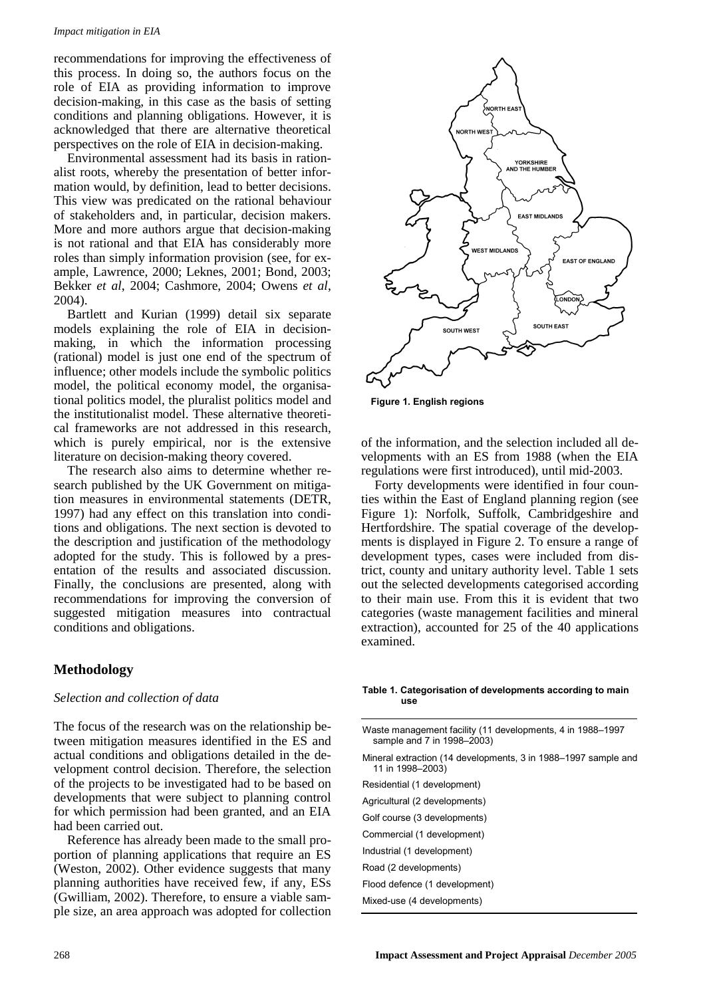recommendations for improving the effectiveness of this process. In doing so, the authors focus on the role of EIA as providing information to improve decision-making, in this case as the basis of setting conditions and planning obligations. However, it is acknowledged that there are alternative theoretical perspectives on the role of EIA in decision-making.

Environmental assessment had its basis in rationalist roots, whereby the presentation of better information would, by definition, lead to better decisions. This view was predicated on the rational behaviour of stakeholders and, in particular, decision makers. More and more authors argue that decision-making is not rational and that EIA has considerably more roles than simply information provision (see, for example, Lawrence, 2000; Leknes, 2001; Bond, 2003; Bekker *et al*, 2004; Cashmore, 2004; Owens *et al*, 2004).

Bartlett and Kurian (1999) detail six separate models explaining the role of EIA in decisionmaking, in which the information processing (rational) model is just one end of the spectrum of influence; other models include the symbolic politics model, the political economy model, the organisational politics model, the pluralist politics model and the institutionalist model. These alternative theoretical frameworks are not addressed in this research, which is purely empirical, nor is the extensive literature on decision-making theory covered.

The research also aims to determine whether research published by the UK Government on mitigation measures in environmental statements (DETR, 1997) had any effect on this translation into conditions and obligations. The next section is devoted to the description and justification of the methodology adopted for the study. This is followed by a presentation of the results and associated discussion. Finally, the conclusions are presented, along with recommendations for improving the conversion of suggested mitigation measures into contractual conditions and obligations.

## **Methodology**

## *Selection and collection of data*

The focus of the research was on the relationship between mitigation measures identified in the ES and actual conditions and obligations detailed in the development control decision. Therefore, the selection of the projects to be investigated had to be based on developments that were subject to planning control for which permission had been granted, and an EIA had been carried out.

Reference has already been made to the small proportion of planning applications that require an ES (Weston, 2002). Other evidence suggests that many planning authorities have received few, if any, ESs (Gwilliam, 2002). Therefore, to ensure a viable sample size, an area approach was adopted for collection



**Figure 1. English regions**

of the information, and the selection included all developments with an ES from 1988 (when the EIA regulations were first introduced), until mid-2003.

Forty developments were identified in four counties within the East of England planning region (see Figure 1): Norfolk, Suffolk, Cambridgeshire and Hertfordshire. The spatial coverage of the developments is displayed in Figure 2. To ensure a range of development types, cases were included from district, county and unitary authority level. Table 1 sets out the selected developments categorised according to their main use. From this it is evident that two categories (waste management facilities and mineral extraction), accounted for 25 of the 40 applications examined.

#### **Table 1. Categorisation of developments according to main use**

Waste management facility (11 developments, 4 in 1988–1997 sample and 7 in 1998–2003)

Mineral extraction (14 developments, 3 in 1988–1997 sample and 11 in 1998–2003)

Residential (1 development)

Agricultural (2 developments) Golf course (3 developments)

Commercial (1 development)

Industrial (1 development)

Road (2 developments)

Flood defence (1 development)

Mixed-use (4 developments)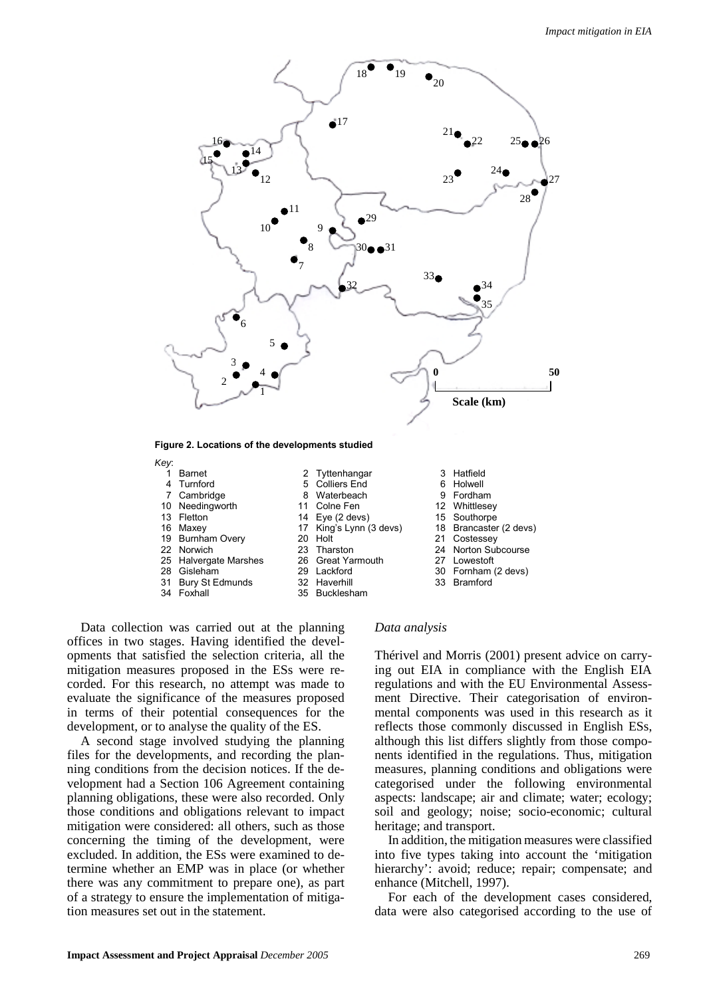

- 
- 31 Bury St Edmunds 32 Haverhill 33 Bramford
- 34 Foxhall 35 Bucklesham
- -
- Data collection was carried out at the planning offices in two stages. Having identified the developments that satisfied the selection criteria, all the mitigation measures proposed in the ESs were recorded. For this research, no attempt was made to evaluate the significance of the measures proposed in terms of their potential consequences for the

development, or to analyse the quality of the ES. A second stage involved studying the planning files for the developments, and recording the planning conditions from the decision notices. If the development had a Section 106 Agreement containing planning obligations, these were also recorded. Only those conditions and obligations relevant to impact mitigation were considered: all others, such as those concerning the timing of the development, were excluded. In addition, the ESs were examined to determine whether an EMP was in place (or whether there was any commitment to prepare one), as part of a strategy to ensure the implementation of mitigation measures set out in the statement.

## *Data analysis*

Thérivel and Morris (2001) present advice on carrying out EIA in compliance with the English EIA regulations and with the EU Environmental Assessment Directive. Their categorisation of environmental components was used in this research as it reflects those commonly discussed in English ESs, although this list differs slightly from those components identified in the regulations. Thus, mitigation measures, planning conditions and obligations were categorised under the following environmental aspects: landscape; air and climate; water; ecology; soil and geology; noise; socio-economic; cultural heritage; and transport.

In addition, the mitigation measures were classified into five types taking into account the 'mitigation hierarchy': avoid; reduce; repair; compensate; and enhance (Mitchell, 1997).

For each of the development cases considered, data were also categorised according to the use of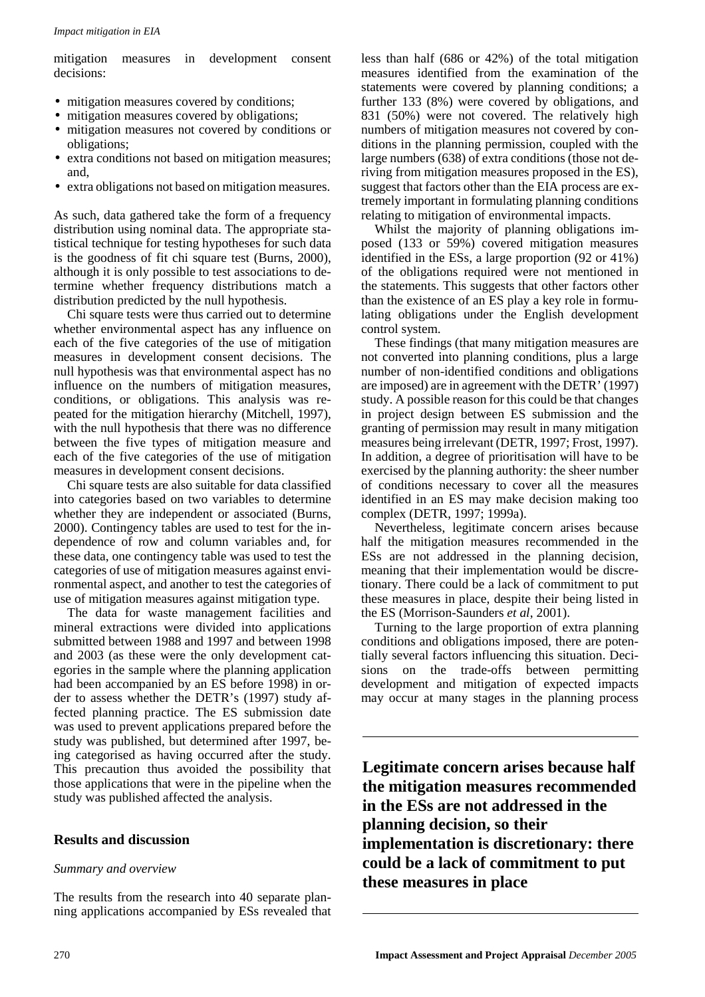mitigation measures in development consent decisions:

- mitigation measures covered by conditions;
- mitigation measures covered by obligations;
- mitigation measures not covered by conditions or obligations;
- extra conditions not based on mitigation measures; and,
- extra obligations not based on mitigation measures.

As such, data gathered take the form of a frequency distribution using nominal data. The appropriate statistical technique for testing hypotheses for such data is the goodness of fit chi square test (Burns, 2000), although it is only possible to test associations to determine whether frequency distributions match a distribution predicted by the null hypothesis.

Chi square tests were thus carried out to determine whether environmental aspect has any influence on each of the five categories of the use of mitigation measures in development consent decisions. The null hypothesis was that environmental aspect has no influence on the numbers of mitigation measures, conditions, or obligations. This analysis was repeated for the mitigation hierarchy (Mitchell, 1997), with the null hypothesis that there was no difference between the five types of mitigation measure and each of the five categories of the use of mitigation measures in development consent decisions.

Chi square tests are also suitable for data classified into categories based on two variables to determine whether they are independent or associated (Burns, 2000). Contingency tables are used to test for the independence of row and column variables and, for these data, one contingency table was used to test the categories of use of mitigation measures against environmental aspect, and another to test the categories of use of mitigation measures against mitigation type.

The data for waste management facilities and mineral extractions were divided into applications submitted between 1988 and 1997 and between 1998 and 2003 (as these were the only development categories in the sample where the planning application had been accompanied by an ES before 1998) in order to assess whether the DETR's (1997) study affected planning practice. The ES submission date was used to prevent applications prepared before the study was published, but determined after 1997, being categorised as having occurred after the study. This precaution thus avoided the possibility that those applications that were in the pipeline when the study was published affected the analysis.

## **Results and discussion**

## *Summary and overview*

The results from the research into 40 separate planning applications accompanied by ESs revealed that

less than half (686 or 42%) of the total mitigation measures identified from the examination of the statements were covered by planning conditions; a further 133 (8%) were covered by obligations, and 831 (50%) were not covered. The relatively high numbers of mitigation measures not covered by conditions in the planning permission, coupled with the large numbers (638) of extra conditions (those not deriving from mitigation measures proposed in the ES), suggest that factors other than the EIA process are extremely important in formulating planning conditions relating to mitigation of environmental impacts.

Whilst the majority of planning obligations imposed (133 or 59%) covered mitigation measures identified in the ESs, a large proportion (92 or 41%) of the obligations required were not mentioned in the statements. This suggests that other factors other than the existence of an ES play a key role in formulating obligations under the English development control system.

These findings (that many mitigation measures are not converted into planning conditions, plus a large number of non-identified conditions and obligations are imposed) are in agreement with the DETR' (1997) study. A possible reason for this could be that changes in project design between ES submission and the granting of permission may result in many mitigation measures being irrelevant (DETR, 1997; Frost, 1997). In addition, a degree of prioritisation will have to be exercised by the planning authority: the sheer number of conditions necessary to cover all the measures identified in an ES may make decision making too complex (DETR, 1997; 1999a).

Nevertheless, legitimate concern arises because half the mitigation measures recommended in the ESs are not addressed in the planning decision, meaning that their implementation would be discretionary. There could be a lack of commitment to put these measures in place, despite their being listed in the ES (Morrison-Saunders *et al*, 2001).

Turning to the large proportion of extra planning conditions and obligations imposed, there are potentially several factors influencing this situation. Decisions on the trade-offs between permitting development and mitigation of expected impacts may occur at many stages in the planning process

**Legitimate concern arises because half the mitigation measures recommended in the ESs are not addressed in the planning decision, so their implementation is discretionary: there could be a lack of commitment to put these measures in place**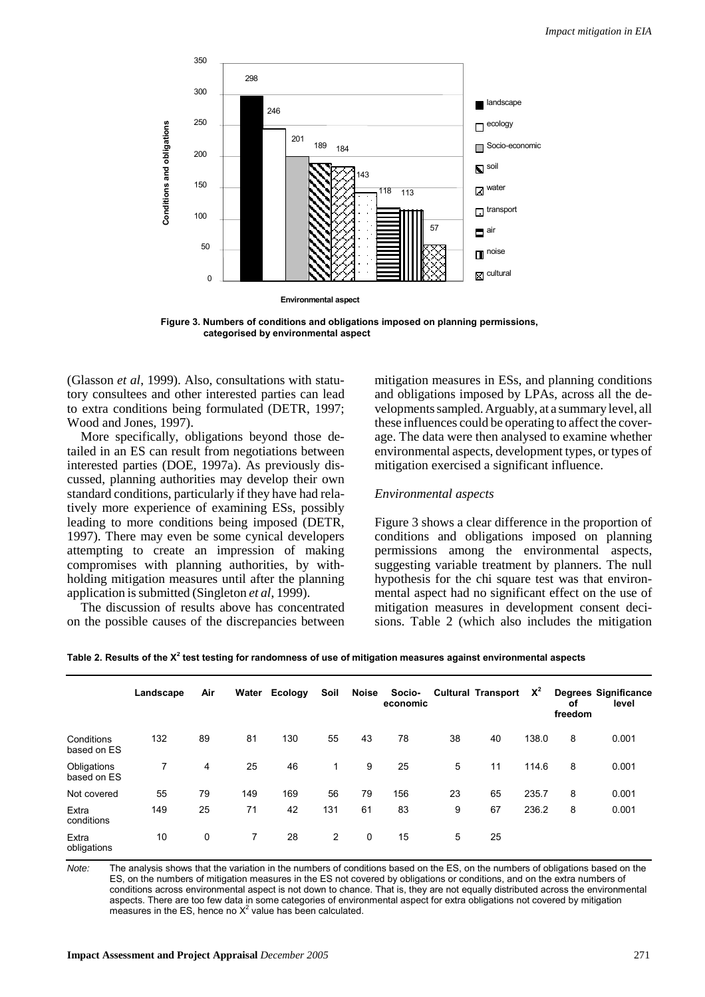

**Environmental aspect**

**Figure 3. Numbers of conditions and obligations imposed on planning permissions, categorised by environmental aspect** 

(Glasson *et al*, 1999). Also, consultations with statutory consultees and other interested parties can lead to extra conditions being formulated (DETR, 1997; Wood and Jones, 1997).

More specifically, obligations beyond those detailed in an ES can result from negotiations between interested parties (DOE, 1997a). As previously discussed, planning authorities may develop their own standard conditions, particularly if they have had relatively more experience of examining ESs, possibly leading to more conditions being imposed (DETR, 1997). There may even be some cynical developers attempting to create an impression of making compromises with planning authorities, by withholding mitigation measures until after the planning application issubmitted (Singleton *et al*, 1999).

The discussion of results above has concentrated on the possible causes of the discrepancies between mitigation measures in ESs, and planning conditions and obligations imposed by LPAs, across all the developmentssampled.Arguably, at a summary level, all these influences could be operating to affect the coverage. The data were then analysed to examine whether environmental aspects, development types, or types of mitigation exercised a significant influence.

## *Environmental aspects*

Figure 3 shows a clear difference in the proportion of conditions and obligations imposed on planning permissions among the environmental aspects, suggesting variable treatment by planners. The null hypothesis for the chi square test was that environmental aspect had no significant effect on the use of mitigation measures in development consent decisions. Table 2 (which also includes the mitigation

| Table 2. Results of the X <sup>2</sup> test testing for randomness of use of mitigation measures against environmental aspects |  |  |  |
|--------------------------------------------------------------------------------------------------------------------------------|--|--|--|
|--------------------------------------------------------------------------------------------------------------------------------|--|--|--|

|                            | Landscape | Air | Water | Ecology | Soil | <b>Noise</b> | economic |    | Socio- Cultural Transport | $\mathsf{X}^2$ | οf<br>freedom | Degrees Significance<br>level |
|----------------------------|-----------|-----|-------|---------|------|--------------|----------|----|---------------------------|----------------|---------------|-------------------------------|
| Conditions<br>based on ES  | 132       | 89  | 81    | 130     | 55   | 43           | 78       | 38 | 40                        | 138.0          | 8             | 0.001                         |
| Obligations<br>based on ES | 7         | 4   | 25    | 46      | 1    | 9            | 25       | 5  | 11                        | 114.6          | 8             | 0.001                         |
| Not covered                | 55        | 79  | 149   | 169     | 56   | 79           | 156      | 23 | 65                        | 235.7          | 8             | 0.001                         |
| Extra<br>conditions        | 149       | 25  | 71    | 42      | 131  | 61           | 83       | 9  | 67                        | 236.2          | 8             | 0.001                         |
| Extra<br>obligations       | 10        | 0   | 7     | 28      | 2    | 0            | 15       | 5  | 25                        |                |               |                               |

*Note:* The analysis shows that the variation in the numbers of conditions based on the ES, on the numbers of obligations based on the ES, on the numbers of mitigation measures in the ES not covered by obligations or conditions, and on the extra numbers of conditions across environmental aspect is not down to chance. That is, they are not equally distributed across the environmental aspects. There are too few data in some categories of environmental aspect for extra obligations not covered by mitigation measures in the ES, hence no  $X^2$  value has been calculated.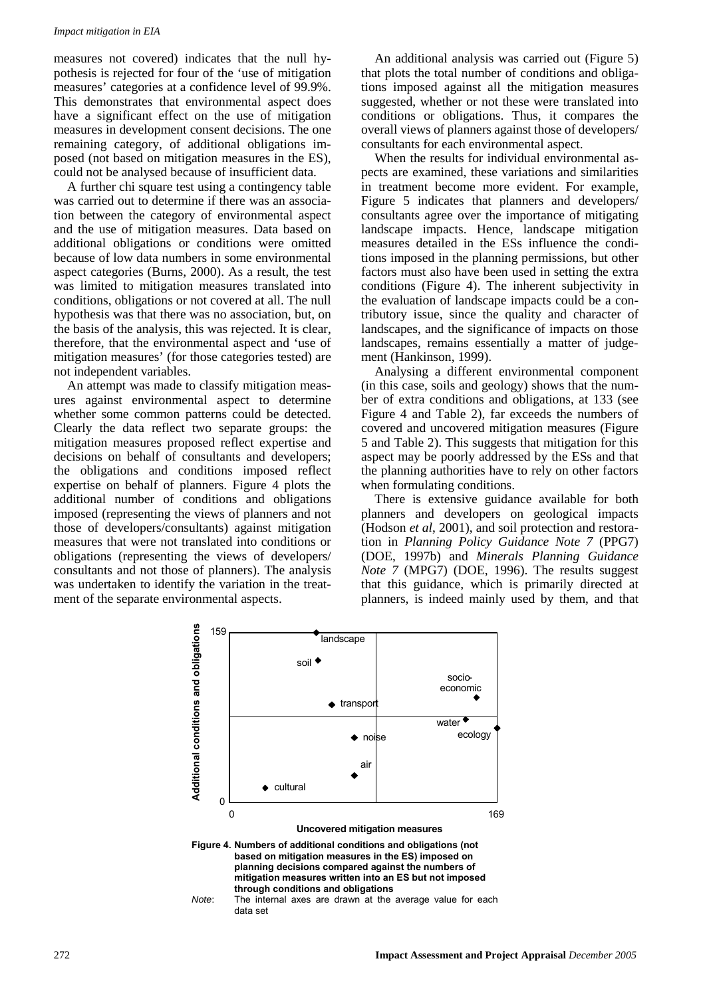measures not covered) indicates that the null hypothesis is rejected for four of the 'use of mitigation measures' categories at a confidence level of 99.9%. This demonstrates that environmental aspect does have a significant effect on the use of mitigation measures in development consent decisions. The one remaining category, of additional obligations imposed (not based on mitigation measures in the ES), could not be analysed because of insufficient data.

A further chi square test using a contingency table was carried out to determine if there was an association between the category of environmental aspect and the use of mitigation measures. Data based on additional obligations or conditions were omitted because of low data numbers in some environmental aspect categories (Burns, 2000). As a result, the test was limited to mitigation measures translated into conditions, obligations or not covered at all. The null hypothesis was that there was no association, but, on the basis of the analysis, this was rejected. It is clear, therefore, that the environmental aspect and 'use of mitigation measures' (for those categories tested) are not independent variables.

An attempt was made to classify mitigation measures against environmental aspect to determine whether some common patterns could be detected. Clearly the data reflect two separate groups: the mitigation measures proposed reflect expertise and decisions on behalf of consultants and developers; the obligations and conditions imposed reflect expertise on behalf of planners. Figure 4 plots the additional number of conditions and obligations imposed (representing the views of planners and not those of developers/consultants) against mitigation measures that were not translated into conditions or obligations (representing the views of developers/ consultants and not those of planners). The analysis was undertaken to identify the variation in the treatment of the separate environmental aspects.

An additional analysis was carried out (Figure 5) that plots the total number of conditions and obligations imposed against all the mitigation measures suggested, whether or not these were translated into conditions or obligations. Thus, it compares the overall views of planners against those of developers/ consultants for each environmental aspect.

When the results for individual environmental aspects are examined, these variations and similarities in treatment become more evident. For example, Figure 5 indicates that planners and developers/ consultants agree over the importance of mitigating landscape impacts. Hence, landscape mitigation measures detailed in the ESs influence the conditions imposed in the planning permissions, but other factors must also have been used in setting the extra conditions (Figure 4). The inherent subjectivity in the evaluation of landscape impacts could be a contributory issue, since the quality and character of landscapes, and the significance of impacts on those landscapes, remains essentially a matter of judgement (Hankinson, 1999).

Analysing a different environmental component (in this case, soils and geology) shows that the number of extra conditions and obligations, at 133 (see Figure 4 and Table 2), far exceeds the numbers of covered and uncovered mitigation measures (Figure 5 and Table 2). This suggests that mitigation for this aspect may be poorly addressed by the ESs and that the planning authorities have to rely on other factors when formulating conditions.

There is extensive guidance available for both planners and developers on geological impacts (Hodson *et al*, 2001), and soil protection and restoration in *Planning Policy Guidance Note 7* (PPG7) (DOE, 1997b) and *Minerals Planning Guidance Note 7* (MPG7) (DOE, 1996). The results suggest that this guidance, which is primarily directed at planners, is indeed mainly used by them, and that

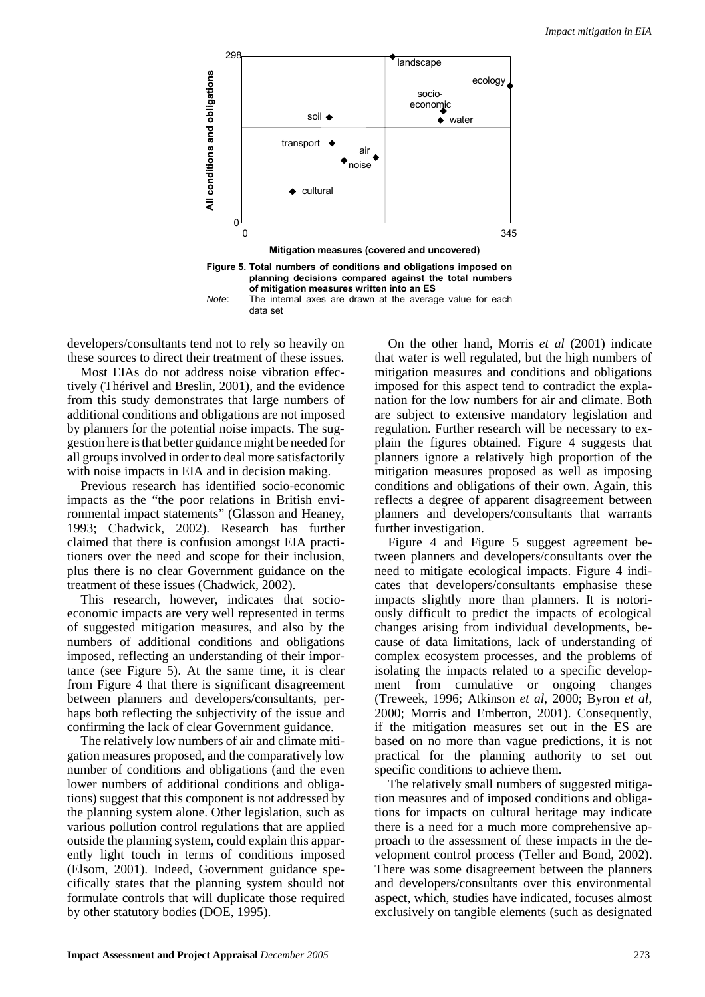

developers/consultants tend not to rely so heavily on these sources to direct their treatment of these issues.

Most EIAs do not address noise vibration effectively (Thérivel and Breslin, 2001), and the evidence from this study demonstrates that large numbers of additional conditions and obligations are not imposed by planners for the potential noise impacts. The suggestion here isthat better guidancemight be needed for all groupsinvolved in order to deal more satisfactorily with noise impacts in EIA and in decision making.

Previous research has identified socio-economic impacts as the "the poor relations in British environmental impact statements" (Glasson and Heaney, 1993; Chadwick, 2002). Research has further claimed that there is confusion amongst EIA practitioners over the need and scope for their inclusion, plus there is no clear Government guidance on the treatment of these issues (Chadwick, 2002).

This research, however, indicates that socioeconomic impacts are very well represented in terms of suggested mitigation measures, and also by the numbers of additional conditions and obligations imposed, reflecting an understanding of their importance (see Figure 5). At the same time, it is clear from Figure 4 that there is significant disagreement between planners and developers/consultants, perhaps both reflecting the subjectivity of the issue and confirming the lack of clear Government guidance.

The relatively low numbers of air and climate mitigation measures proposed, and the comparatively low number of conditions and obligations (and the even lower numbers of additional conditions and obligations) suggest that this component is not addressed by the planning system alone. Other legislation, such as various pollution control regulations that are applied outside the planning system, could explain this apparently light touch in terms of conditions imposed (Elsom, 2001). Indeed, Government guidance specifically states that the planning system should not formulate controls that will duplicate those required by other statutory bodies (DOE, 1995).

On the other hand, Morris *et al* (2001) indicate that water is well regulated, but the high numbers of mitigation measures and conditions and obligations imposed for this aspect tend to contradict the explanation for the low numbers for air and climate. Both are subject to extensive mandatory legislation and regulation. Further research will be necessary to explain the figures obtained. Figure 4 suggests that planners ignore a relatively high proportion of the mitigation measures proposed as well as imposing conditions and obligations of their own. Again, this reflects a degree of apparent disagreement between planners and developers/consultants that warrants further investigation.

Figure 4 and Figure 5 suggest agreement between planners and developers/consultants over the need to mitigate ecological impacts. Figure 4 indicates that developers/consultants emphasise these impacts slightly more than planners. It is notoriously difficult to predict the impacts of ecological changes arising from individual developments, because of data limitations, lack of understanding of complex ecosystem processes, and the problems of isolating the impacts related to a specific development from cumulative or ongoing changes (Treweek, 1996; Atkinson *et al*, 2000; Byron *et al*, 2000; Morris and Emberton, 2001). Consequently, if the mitigation measures set out in the ES are based on no more than vague predictions, it is not practical for the planning authority to set out specific conditions to achieve them.

The relatively small numbers of suggested mitigation measures and of imposed conditions and obligations for impacts on cultural heritage may indicate there is a need for a much more comprehensive approach to the assessment of these impacts in the development control process (Teller and Bond, 2002). There was some disagreement between the planners and developers/consultants over this environmental aspect, which, studies have indicated, focuses almost exclusively on tangible elements (such as designated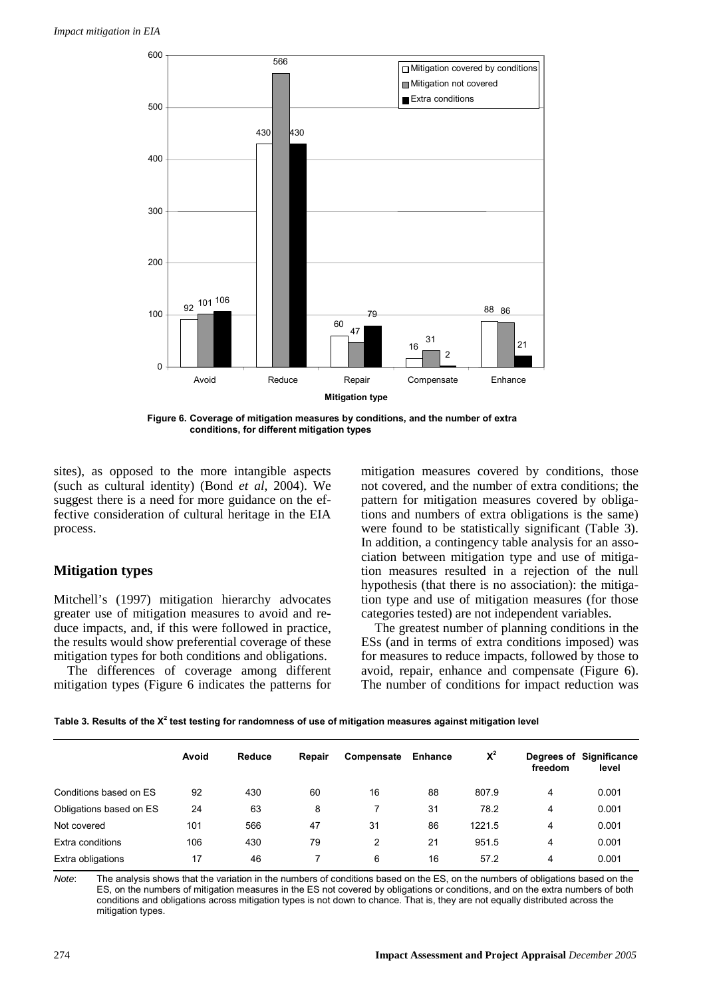

**Figure 6. Coverage of mitigation measures by conditions, and the number of extra conditions, for different mitigation types** 

sites), as opposed to the more intangible aspects (such as cultural identity) (Bond *et al*, 2004). We suggest there is a need for more guidance on the effective consideration of cultural heritage in the EIA process.

## **Mitigation types**

Mitchell's (1997) mitigation hierarchy advocates greater use of mitigation measures to avoid and reduce impacts, and, if this were followed in practice, the results would show preferential coverage of these mitigation types for both conditions and obligations.

The differences of coverage among different mitigation types (Figure 6 indicates the patterns for

mitigation measures covered by conditions, those not covered, and the number of extra conditions; the pattern for mitigation measures covered by obligations and numbers of extra obligations is the same) were found to be statistically significant (Table 3). In addition, a contingency table analysis for an association between mitigation type and use of mitigation measures resulted in a rejection of the null hypothesis (that there is no association): the mitigation type and use of mitigation measures (for those categories tested) are not independent variables.

The greatest number of planning conditions in the ESs (and in terms of extra conditions imposed) was for measures to reduce impacts, followed by those to avoid, repair, enhance and compensate (Figure 6). The number of conditions for impact reduction was

|  | Table 3. Results of the X <sup>2</sup> test testing for randomness of use of mitigation measures against mitigation leve <sup>l</sup> |
|--|---------------------------------------------------------------------------------------------------------------------------------------|
|  |                                                                                                                                       |

|                         | Avoid | Reduce | Repair | Compensate | Enhance | $X^2$  | freedom | Degrees of Significance<br>level |
|-------------------------|-------|--------|--------|------------|---------|--------|---------|----------------------------------|
| Conditions based on ES  | 92    | 430    | 60     | 16         | 88      | 807.9  | 4       | 0.001                            |
| Obligations based on ES | 24    | 63     | 8      |            | 31      | 78.2   | 4       | 0.001                            |
| Not covered             | 101   | 566    | 47     | 31         | 86      | 1221.5 | 4       | 0.001                            |
| Extra conditions        | 106   | 430    | 79     | 2          | 21      | 951.5  | 4       | 0.001                            |
| Extra obligations       | 17    | 46     |        | 6          | 16      | 57.2   | 4       | 0.001                            |

*Note*: The analysis shows that the variation in the numbers of conditions based on the ES, on the numbers of obligations based on the ES, on the numbers of mitigation measures in the ES not covered by obligations or conditions, and on the extra numbers of both conditions and obligations across mitigation types is not down to chance. That is, they are not equally distributed across the mitigation types.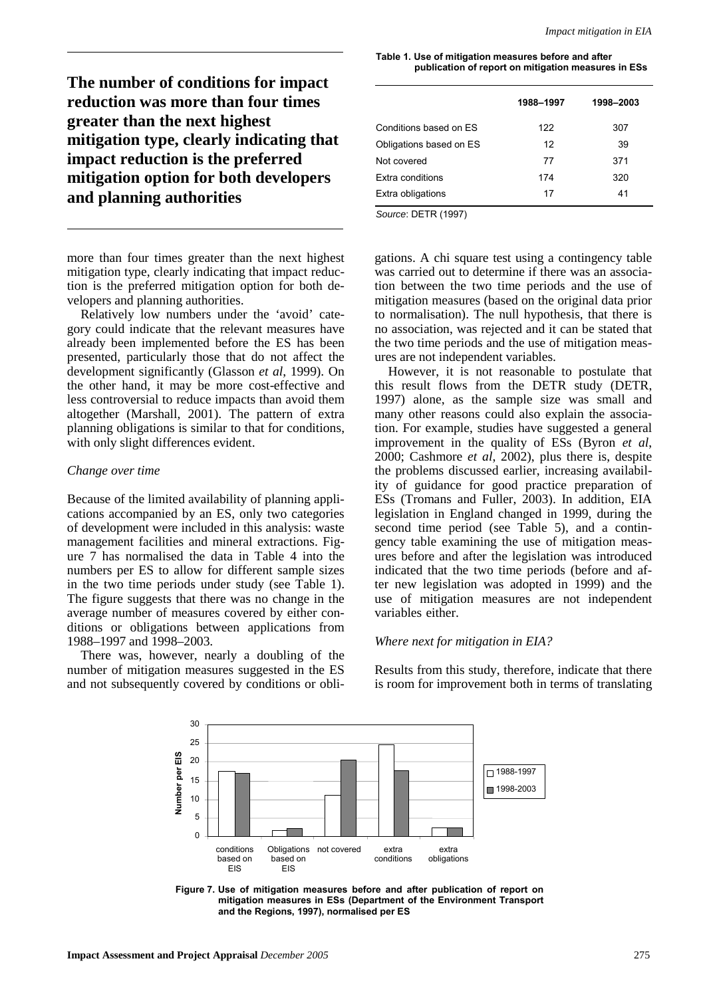**The number of conditions for impact reduction was more than four times greater than the next highest mitigation type, clearly indicating that impact reduction is the preferred mitigation option for both developers and planning authorities** 

more than four times greater than the next highest mitigation type, clearly indicating that impact reduction is the preferred mitigation option for both developers and planning authorities.

Relatively low numbers under the 'avoid' category could indicate that the relevant measures have already been implemented before the ES has been presented, particularly those that do not affect the development significantly (Glasson *et al*, 1999). On the other hand, it may be more cost-effective and less controversial to reduce impacts than avoid them altogether (Marshall, 2001). The pattern of extra planning obligations is similar to that for conditions, with only slight differences evident.

### *Change over time*

Because of the limited availability of planning applications accompanied by an ES, only two categories of development were included in this analysis: waste management facilities and mineral extractions. Figure 7 has normalised the data in Table 4 into the numbers per ES to allow for different sample sizes in the two time periods under study (see Table 1). The figure suggests that there was no change in the average number of measures covered by either conditions or obligations between applications from 1988–1997 and 1998–2003.

There was, however, nearly a doubling of the number of mitigation measures suggested in the ES and not subsequently covered by conditions or obli**Table 1. Use of mitigation measures before and after publication of report on mitigation measures in ESs**

|                         | 1988-1997 | 1998-2003 |
|-------------------------|-----------|-----------|
| Conditions based on FS  | 122       | 307       |
| Obligations based on ES | 12        | 39        |
| Not covered             | 77        | 371       |
| Extra conditions        | 174       | 320       |
| Extra obligations       | 17        | 41        |

*Source*: DETR (1997)

gations. A chi square test using a contingency table was carried out to determine if there was an association between the two time periods and the use of mitigation measures (based on the original data prior to normalisation). The null hypothesis, that there is no association, was rejected and it can be stated that the two time periods and the use of mitigation measures are not independent variables.

However, it is not reasonable to postulate that this result flows from the DETR study (DETR, 1997) alone, as the sample size was small and many other reasons could also explain the association. For example, studies have suggested a general improvement in the quality of ESs (Byron *et al*, 2000; Cashmore *et al*, 2002), plus there is, despite the problems discussed earlier, increasing availability of guidance for good practice preparation of ESs (Tromans and Fuller, 2003). In addition, EIA legislation in England changed in 1999, during the second time period (see Table 5), and a contingency table examining the use of mitigation measures before and after the legislation was introduced indicated that the two time periods (before and after new legislation was adopted in 1999) and the use of mitigation measures are not independent variables either.

## *Where next for mitigation in EIA?*

Results from this study, therefore, indicate that there is room for improvement both in terms of translating



**Figure 7. Use of mitigation measures before and after publication of report on mitigation measures in ESs (Department of the Environment Transport and the Regions, 1997), normalised per ES**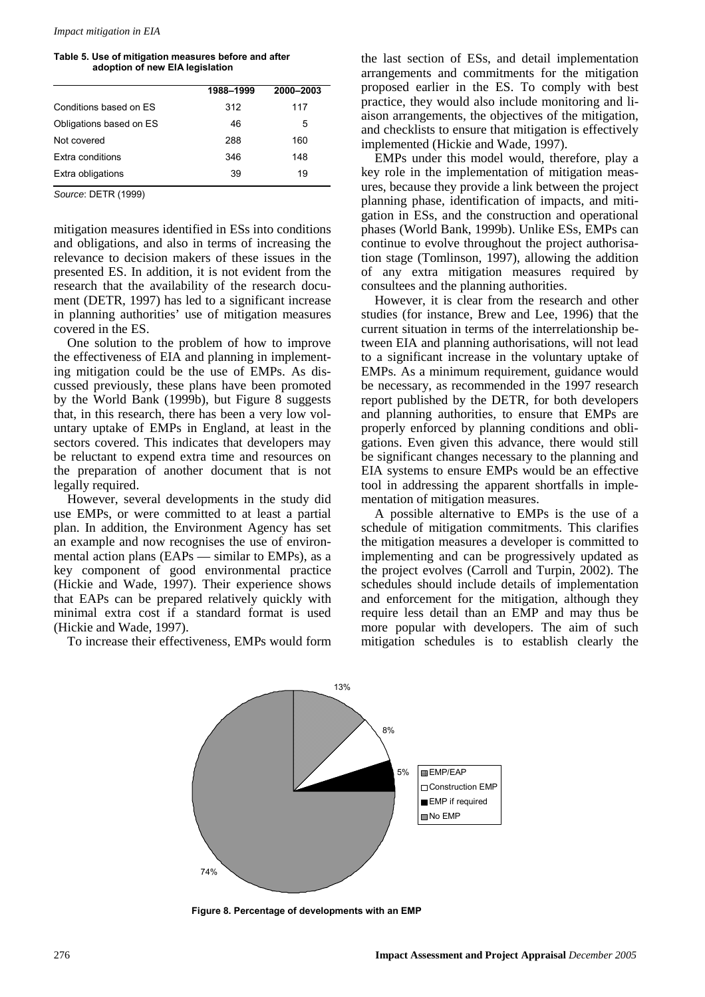**Table 5. Use of mitigation measures before and after adoption of new EIA legislation**

|                         | 1988-1999 | 2000-2003 |
|-------------------------|-----------|-----------|
| Conditions based on FS  | 312       | 117       |
| Obligations based on ES | 46        | 5         |
| Not covered             | 288       | 160       |
| Extra conditions        | 346       | 148       |
| Extra obligations       | 39        | 19        |

*Source*: DETR (1999)

mitigation measures identified in ESs into conditions and obligations, and also in terms of increasing the relevance to decision makers of these issues in the presented ES. In addition, it is not evident from the research that the availability of the research document (DETR, 1997) has led to a significant increase in planning authorities' use of mitigation measures covered in the ES.

One solution to the problem of how to improve the effectiveness of EIA and planning in implementing mitigation could be the use of EMPs. As discussed previously, these plans have been promoted by the World Bank (1999b), but Figure 8 suggests that, in this research, there has been a very low voluntary uptake of EMPs in England, at least in the sectors covered. This indicates that developers may be reluctant to expend extra time and resources on the preparation of another document that is not legally required.

However, several developments in the study did use EMPs, or were committed to at least a partial plan. In addition, the Environment Agency has set an example and now recognises the use of environmental action plans (EAPs — similar to EMPs), as a key component of good environmental practice (Hickie and Wade, 1997). Their experience shows that EAPs can be prepared relatively quickly with minimal extra cost if a standard format is used (Hickie and Wade, 1997).

To increase their effectiveness, EMPs would form

the last section of ESs, and detail implementation arrangements and commitments for the mitigation proposed earlier in the ES. To comply with best practice, they would also include monitoring and liaison arrangements, the objectives of the mitigation, and checklists to ensure that mitigation is effectively implemented (Hickie and Wade, 1997).

EMPs under this model would, therefore, play a key role in the implementation of mitigation measures, because they provide a link between the project planning phase, identification of impacts, and mitigation in ESs, and the construction and operational phases (World Bank, 1999b). Unlike ESs, EMPs can continue to evolve throughout the project authorisation stage (Tomlinson, 1997), allowing the addition of any extra mitigation measures required by consultees and the planning authorities.

However, it is clear from the research and other studies (for instance, Brew and Lee, 1996) that the current situation in terms of the interrelationship between EIA and planning authorisations, will not lead to a significant increase in the voluntary uptake of EMPs. As a minimum requirement, guidance would be necessary, as recommended in the 1997 research report published by the DETR, for both developers and planning authorities, to ensure that EMPs are properly enforced by planning conditions and obligations. Even given this advance, there would still be significant changes necessary to the planning and EIA systems to ensure EMPs would be an effective tool in addressing the apparent shortfalls in implementation of mitigation measures.

A possible alternative to EMPs is the use of a schedule of mitigation commitments. This clarifies the mitigation measures a developer is committed to implementing and can be progressively updated as the project evolves (Carroll and Turpin, 2002). The schedules should include details of implementation and enforcement for the mitigation, although they require less detail than an EMP and may thus be more popular with developers. The aim of such mitigation schedules is to establish clearly the



**Figure 8. Percentage of developments with an EMP**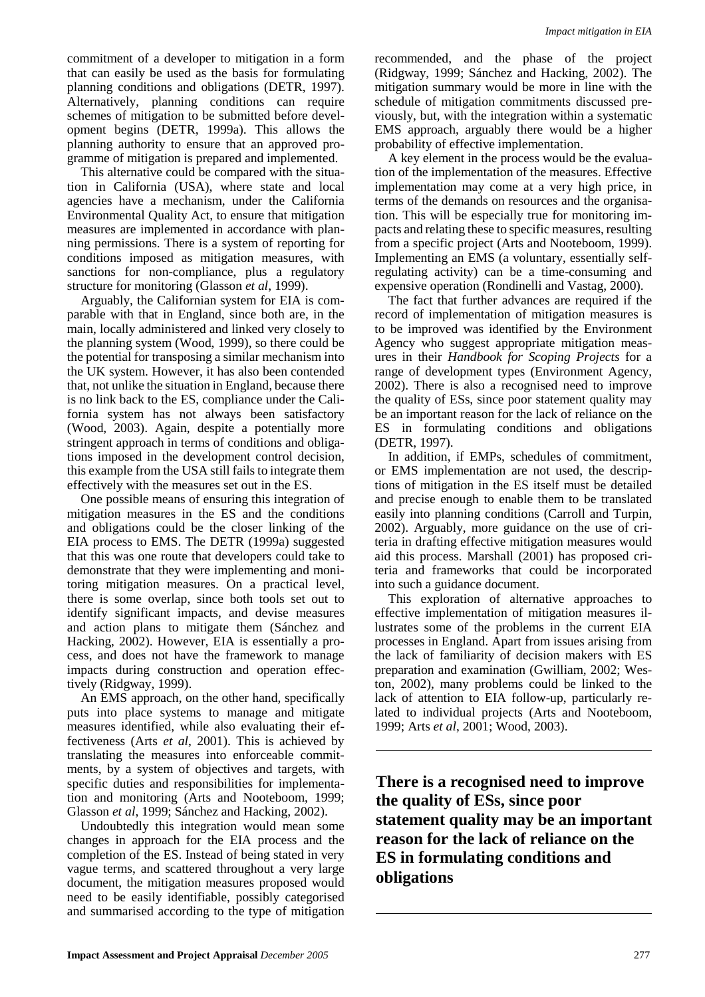commitment of a developer to mitigation in a form that can easily be used as the basis for formulating planning conditions and obligations (DETR, 1997). Alternatively, planning conditions can require schemes of mitigation to be submitted before development begins (DETR, 1999a). This allows the planning authority to ensure that an approved programme of mitigation is prepared and implemented.

This alternative could be compared with the situation in California (USA), where state and local agencies have a mechanism, under the California Environmental Quality Act, to ensure that mitigation measures are implemented in accordance with planning permissions. There is a system of reporting for conditions imposed as mitigation measures, with sanctions for non-compliance, plus a regulatory structure for monitoring (Glasson *et al*, 1999).

Arguably, the Californian system for EIA is comparable with that in England, since both are, in the main, locally administered and linked very closely to the planning system (Wood, 1999), so there could be the potential for transposing a similar mechanism into the UK system. However, it has also been contended that, not unlike the situation in England, because there is no link back to the ES, compliance under the California system has not always been satisfactory (Wood, 2003). Again, despite a potentially more stringent approach in terms of conditions and obligations imposed in the development control decision, this example from the USA still fails to integrate them effectively with the measures set out in the ES.

One possible means of ensuring this integration of mitigation measures in the ES and the conditions and obligations could be the closer linking of the EIA process to EMS. The DETR (1999a) suggested that this was one route that developers could take to demonstrate that they were implementing and monitoring mitigation measures. On a practical level, there is some overlap, since both tools set out to identify significant impacts, and devise measures and action plans to mitigate them (Sánchez and Hacking, 2002). However, EIA is essentially a process, and does not have the framework to manage impacts during construction and operation effectively (Ridgway, 1999).

An EMS approach, on the other hand, specifically puts into place systems to manage and mitigate measures identified, while also evaluating their effectiveness (Arts *et al*, 2001). This is achieved by translating the measures into enforceable commitments, by a system of objectives and targets, with specific duties and responsibilities for implementation and monitoring (Arts and Nooteboom, 1999; Glasson *et al*, 1999; Sánchez and Hacking, 2002).

Undoubtedly this integration would mean some changes in approach for the EIA process and the completion of the ES. Instead of being stated in very vague terms, and scattered throughout a very large document, the mitigation measures proposed would need to be easily identifiable, possibly categorised and summarised according to the type of mitigation

recommended, and the phase of the project (Ridgway, 1999; Sánchez and Hacking, 2002). The mitigation summary would be more in line with the schedule of mitigation commitments discussed previously, but, with the integration within a systematic EMS approach, arguably there would be a higher probability of effective implementation.

A key element in the process would be the evaluation of the implementation of the measures. Effective implementation may come at a very high price, in terms of the demands on resources and the organisation. This will be especially true for monitoring impacts and relating these to specific measures, resulting from a specific project (Arts and Nooteboom, 1999). Implementing an EMS (a voluntary, essentially selfregulating activity) can be a time-consuming and expensive operation (Rondinelli and Vastag, 2000).

The fact that further advances are required if the record of implementation of mitigation measures is to be improved was identified by the Environment Agency who suggest appropriate mitigation measures in their *Handbook for Scoping Projects* for a range of development types (Environment Agency, 2002). There is also a recognised need to improve the quality of ESs, since poor statement quality may be an important reason for the lack of reliance on the ES in formulating conditions and obligations (DETR, 1997).

In addition, if EMPs, schedules of commitment, or EMS implementation are not used, the descriptions of mitigation in the ES itself must be detailed and precise enough to enable them to be translated easily into planning conditions (Carroll and Turpin, 2002). Arguably, more guidance on the use of criteria in drafting effective mitigation measures would aid this process. Marshall (2001) has proposed criteria and frameworks that could be incorporated into such a guidance document.

This exploration of alternative approaches to effective implementation of mitigation measures illustrates some of the problems in the current EIA processes in England. Apart from issues arising from the lack of familiarity of decision makers with ES preparation and examination (Gwilliam, 2002; Weston, 2002), many problems could be linked to the lack of attention to EIA follow-up, particularly related to individual projects (Arts and Nooteboom, 1999; Arts *et al*, 2001; Wood, 2003).

**There is a recognised need to improve the quality of ESs, since poor statement quality may be an important reason for the lack of reliance on the ES in formulating conditions and obligations**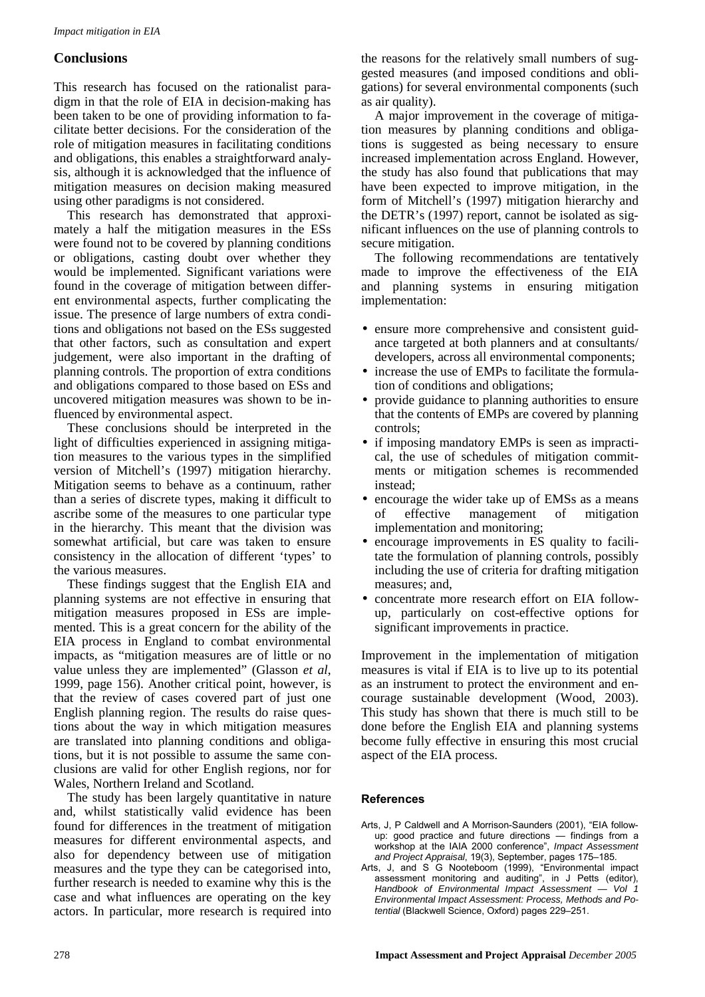## **Conclusions**

This research has focused on the rationalist paradigm in that the role of EIA in decision-making has been taken to be one of providing information to facilitate better decisions. For the consideration of the role of mitigation measures in facilitating conditions and obligations, this enables a straightforward analysis, although it is acknowledged that the influence of mitigation measures on decision making measured using other paradigms is not considered.

This research has demonstrated that approximately a half the mitigation measures in the ESs were found not to be covered by planning conditions or obligations, casting doubt over whether they would be implemented. Significant variations were found in the coverage of mitigation between different environmental aspects, further complicating the issue. The presence of large numbers of extra conditions and obligations not based on the ESs suggested that other factors, such as consultation and expert judgement, were also important in the drafting of planning controls. The proportion of extra conditions and obligations compared to those based on ESs and uncovered mitigation measures was shown to be influenced by environmental aspect.

These conclusions should be interpreted in the light of difficulties experienced in assigning mitigation measures to the various types in the simplified version of Mitchell's (1997) mitigation hierarchy. Mitigation seems to behave as a continuum, rather than a series of discrete types, making it difficult to ascribe some of the measures to one particular type in the hierarchy. This meant that the division was somewhat artificial, but care was taken to ensure consistency in the allocation of different 'types' to the various measures.

These findings suggest that the English EIA and planning systems are not effective in ensuring that mitigation measures proposed in ESs are implemented. This is a great concern for the ability of the EIA process in England to combat environmental impacts, as "mitigation measures are of little or no value unless they are implemented" (Glasson *et al*, 1999, page 156). Another critical point, however, is that the review of cases covered part of just one English planning region. The results do raise questions about the way in which mitigation measures are translated into planning conditions and obligations, but it is not possible to assume the same conclusions are valid for other English regions, nor for Wales, Northern Ireland and Scotland.

The study has been largely quantitative in nature and, whilst statistically valid evidence has been found for differences in the treatment of mitigation measures for different environmental aspects, and also for dependency between use of mitigation measures and the type they can be categorised into, further research is needed to examine why this is the case and what influences are operating on the key actors. In particular, more research is required into

the reasons for the relatively small numbers of suggested measures (and imposed conditions and obligations) for several environmental components (such as air quality).

A major improvement in the coverage of mitigation measures by planning conditions and obligations is suggested as being necessary to ensure increased implementation across England. However, the study has also found that publications that may have been expected to improve mitigation, in the form of Mitchell's (1997) mitigation hierarchy and the DETR's (1997) report, cannot be isolated as significant influences on the use of planning controls to secure mitigation.

The following recommendations are tentatively made to improve the effectiveness of the EIA and planning systems in ensuring mitigation implementation:

- ensure more comprehensive and consistent guidance targeted at both planners and at consultants/ developers, across all environmental components;
- increase the use of EMPs to facilitate the formulation of conditions and obligations;
- provide guidance to planning authorities to ensure that the contents of EMPs are covered by planning controls;
- if imposing mandatory EMPs is seen as impractical, the use of schedules of mitigation commitments or mitigation schemes is recommended instead;
- encourage the wider take up of EMSs as a means of effective management of mitigation implementation and monitoring;
- encourage improvements in ES quality to facilitate the formulation of planning controls, possibly including the use of criteria for drafting mitigation measures; and,
- concentrate more research effort on EIA followup, particularly on cost-effective options for significant improvements in practice.

Improvement in the implementation of mitigation measures is vital if EIA is to live up to its potential as an instrument to protect the environment and encourage sustainable development (Wood, 2003). This study has shown that there is much still to be done before the English EIA and planning systems become fully effective in ensuring this most crucial aspect of the EIA process.

## **References**

- Arts, J, P Caldwell and A Morrison-Saunders (2001), "EIA followup: good practice and future directions — findings from a workshop at the IAIA 2000 conference", *Impact Assessment and Project Appraisal*, 19(3), September, pages 175–185.
- Arts, J, and S G Nooteboom (1999), "Environmental impact assessment monitoring and auditing", in J Petts (editor), *Handbook of Environmental Impact Assessment — Vol 1 Environmental Impact Assessment: Process, Methods and Potential* (Blackwell Science, Oxford) pages 229–251.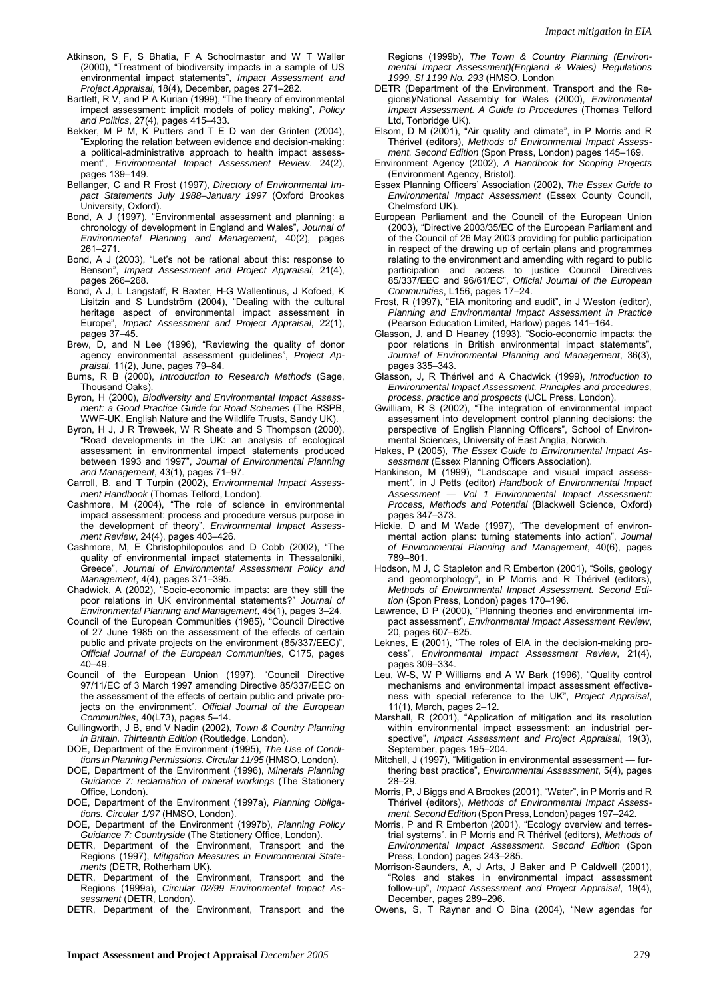- Atkinson, S F, S Bhatia, F A Schoolmaster and W T Waller (2000), "Treatment of biodiversity impacts in a sample of US environmental impact statements", *Impact Assessment and Project Appraisal*, 18(4), December, pages 271–282.
- Bartlett, R V, and P A Kurian (1999), "The theory of environmental impact assessment: implicit models of policy making", *Policy and Politics*, 27(4), pages 415–433.
- Bekker, M P M, K Putters and T E D van der Grinten (2004), "Exploring the relation between evidence and decision-making: a political-administrative approach to health impact assessment", *Environmental Impact Assessment Review*, 24(2), pages 139–149.
- Bellanger, C and R Frost (1997), *Directory of Environmental Impact Statements July 1988–January 1997* (Oxford Brookes University, Oxford).
- Bond, A J (1997), "Environmental assessment and planning: a chronology of development in England and Wales", *Journal of Environmental Planning and Management*, 40(2), pages 261–271.
- Bond, A J (2003), "Let's not be rational about this: response to Benson", *Impact Assessment and Project Appraisal*, 21(4), pages 266–268.
- Bond, A J, L Langstaff, R Baxter, H-G Wallentinus, J Kofoed, K Lisitzin and S Lundström (2004), "Dealing with the cultural heritage aspect of environmental impact assessment in Europe", *Impact Assessment and Project Appraisal*, 22(1), pages 37–45.
- Brew, D, and N Lee (1996), "Reviewing the quality of donor agency environmental assessment guidelines", *Project Appraisal*, 11(2), June, pages 79–84.
- Burns, R B (2000), *Introduction to Research Methods* (Sage, Thousand Oaks).
- Byron, H (2000), *Biodiversity and Environmental Impact Assessment: a Good Practice Guide for Road Schemes* (The RSPB, WWF-UK, English Nature and the Wildlife Trusts, Sandy UK).
- Byron, H J, J R Treweek, W R Sheate and S Thompson (2000), "Road developments in the UK: an analysis of ecological assessment in environmental impact statements produced between 1993 and 1997", *Journal of Environmental Planning and Management*, 43(1), pages 71–97.
- Carroll, B, and T Turpin (2002), *Environmental Impact Assessment Handbook* (Thomas Telford, London).
- Cashmore, M (2004), "The role of science in environmental impact assessment: process and procedure versus purpose in the development of theory", *Environmental Impact Assessment Review*, 24(4), pages 403–426.
- Cashmore, M, E Christophilopoulos and D Cobb (2002), "The quality of environmental impact statements in Thessaloniki, Greece", *Journal of Environmental Assessment Policy and Management*, 4(4), pages 371–395.
- Chadwick, A (2002), "Socio-economic impacts: are they still the poor relations in UK environmental statements?" *Journal of Environmental Planning and Management*, 45(1), pages 3–24.
- Council of the European Communities (1985), "Council Directive of 27 June 1985 on the assessment of the effects of certain public and private projects on the environment (85/337/EEC)", *Official Journal of the European Communities*, C175, pages 40–49.
- Council of the European Union (1997), "Council Directive 97/11/EC of 3 March 1997 amending Directive 85/337/EEC on the assessment of the effects of certain public and private projects on the environment", *Official Journal of the European Communities*, 40(L73), pages 5–14.
- Cullingworth, J B, and V Nadin (2002), *Town & Country Planning in Britain. Thirteenth Edition* (Routledge, London).
- DOE, Department of the Environment (1995), *The Use of Conditions inPlanningPermissions. Circular 11/95* (HMSO, London).
- DOE, Department of the Environment (1996), *Minerals Planning Guidance 7: reclamation of mineral workings* (The Stationery Office, London).
- DOE, Department of the Environment (1997a), *Planning Obligations. Circular 1/97* (HMSO, London).
- DOE, Department of the Environment (1997b), *Planning Policy Guidance 7: Countryside* (The Stationery Office, London).
- DETR, Department of the Environment, Transport and the Regions (1997), *Mitigation Measures in Environmental Statements* (DETR, Rotherham UK).
- DETR, Department of the Environment, Transport and the Regions (1999a), *Circular 02/99 Environmental Impact Assessment* (DETR, London).
- DETR, Department of the Environment, Transport and the

Regions (1999b), *The Town & Country Planning (Environmental Impact Assessment)(England & Wales) Regulations 1999, SI 1199 No. 293* (HMSO, London

- DETR (Department of the Environment, Transport and the Regions)/National Assembly for Wales (2000), *Environmental Impact Assessment. A Guide to Procedures* (Thomas Telford Ltd, Tonbridge UK).
- Elsom, D M (2001), "Air quality and climate", in P Morris and R Thérivel (editors), *Methods of Environmental Impact Assessment. Second Edition* (Spon Press, London) pages 145–169.
- Environment Agency (2002), *A Handbook for Scoping Projects* (Environment Agency, Bristol).
- Essex Planning Officers' Association (2002), *The Essex Guide to Environmental Impact Assessment* (Essex County Council, Chelmsford UK).
- European Parliament and the Council of the European Union (2003), "Directive 2003/35/EC of the European Parliament and of the Council of 26 May 2003 providing for public participation in respect of the drawing up of certain plans and programmes relating to the environment and amending with regard to public participation and access to justice Council Directives 85/337/EEC and 96/61/EC", *Official Journal of the European Communities*, L156, pages 17–24.
- Frost, R (1997), "EIA monitoring and audit", in J Weston (editor), *Planning and Environmental Impact Assessment in Practice* (Pearson Education Limited, Harlow) pages 141–164.
- Glasson, J, and D Heaney (1993), "Socio-economic impacts: the poor relations in British environmental impact statements", *Journal of Environmental Planning and Management*, 36(3), pages 335–343.
- Glasson, J, R Thérivel and A Chadwick (1999), *Introduction to Environmental Impact Assessment. Principles and procedures, process, practice and prospects* (UCL Press, London).
- Gwilliam, R S (2002), "The integration of environmental impact assessment into development control planning decisions: the perspective of English Planning Officers", School of Environmental Sciences, University of East Anglia, Norwich.
- Hakes, P (2005), *The Essex Guide to Environmental Impact Assessment* (Essex Planning Officers Association).
- Hankinson, M (1999), "Landscape and visual impact assessment", in J Petts (editor) *Handbook of Environmental Impact Assessment — Vol 1 Environmental Impact Assessment: Process, Methods and Potential* (Blackwell Science, Oxford) pages 347–373.
- Hickie, D and M Wade (1997), "The development of environmental action plans: turning statements into action", *Journal of Environmental Planning and Management*, 40(6), pages 789–801.
- Hodson, M J, C Stapleton and R Emberton (2001), "Soils, geology and geomorphology", in P Morris and R Thérivel (editors), *Methods of Environmental Impact Assessment. Second Edition* (Spon Press, London) pages 170–196.
- Lawrence, D P (2000), "Planning theories and environmental impact assessment", *Environmental Impact Assessment Review*, 20, pages 607–625.
- Leknes, E (2001), "The roles of EIA in the decision-making process", *Environmental Impact Assessment Review*, 21(4), pages 309–334.
- Leu, W-S, W P Williams and A W Bark (1996), "Quality control mechanisms and environmental impact assessment effectiveness with special reference to the UK", *Project Appraisal*, 11(1), March, pages 2–12.
- Marshall, R (2001), "Application of mitigation and its resolution within environmental impact assessment: an industrial perspective", *Impact Assessment and Project Appraisal*, 19(3), September, pages 195–204.
- Mitchell, J (1997), "Mitigation in environmental assessment furthering best practice", *Environmental Assessment*, 5(4), pages 28–29.
- Morris, P, J Biggs and A Brookes (2001), "Water", in P Morris and R Thérivel (editors), *Methods of Environmental Impact Assessment. SecondEdition* (SponPress, London) pages 197–242.
- Morris, P and R Emberton (2001), "Ecology overview and terrestrial systems", in P Morris and R Thérivel (editors), *Methods of Environmental Impact Assessment. Second Edition* (Spon Press, London) pages 243–285.
- Morrison-Saunders, A, J Arts, J Baker and P Caldwell (2001), "Roles and stakes in environmental impact assessment follow-up", *Impact Assessment and Project Appraisal*, 19(4), December, pages 289–296.
- Owens, S, T Rayner and O Bina (2004), "New agendas for